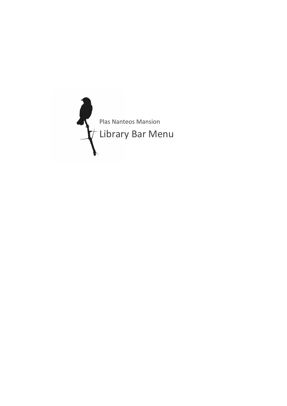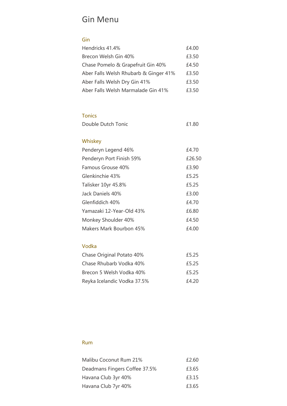# Gin Menu

#### Gin

| Hendricks 41.4%                       | £4.00 |
|---------------------------------------|-------|
| Brecon Welsh Gin 40%                  | £3.50 |
| Chase Pomelo & Grapefruit Gin 40%     | £4.50 |
| Aber Falls Welsh Rhubarb & Ginger 41% | £3.50 |
| Aber Falls Welsh Dry Gin 41%          | £3.50 |
| Aber Falls Welsh Marmalade Gin 41%    | £3.50 |

#### Tonics

| Double Dutch Tonic<br>£1.80 |  |
|-----------------------------|--|
|-----------------------------|--|

### Whiskey

| Penderyn Legend 46%      | £4.70  |
|--------------------------|--------|
| Penderyn Port Finish 59% | £26.50 |
| Famous Grouse 40%        | £3.90  |
| Glenkinchie 43%          | £5.25  |
| Talisker 10yr 45.8%      | £5.25  |
| Jack Daniels 40%         | £3.00  |
| Glenfiddich 40%          | £4.70  |
| Yamazaki 12-Year-Old 43% | £6.80  |
| Monkey Shoulder 40%      | £4.50  |
| Makers Mark Bourbon 45%  | £4.00  |

#### Vodka

| Chase Original Potato 40%   | £5.25 |
|-----------------------------|-------|
| Chase Rhubarb Vodka 40%     | £5.25 |
| Brecon 5 Welsh Vodka 40%    | £5.25 |
| Reyka Icelandic Vodka 37.5% | £4.20 |

#### Rum

| Malibu Coconut Rum 21%        | £2.60 |
|-------------------------------|-------|
| Deadmans Fingers Coffee 37.5% | £3.65 |
| Havana Club 3yr 40%           | £3.15 |
| Havana Club 7yr 40%           | £3.65 |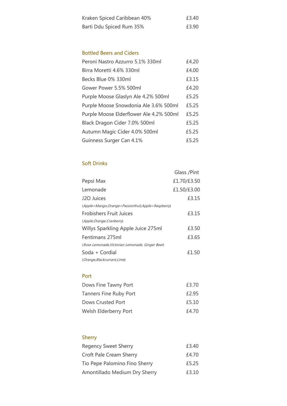| Kraken Spiced Caribbean 40% | £3.40 |
|-----------------------------|-------|
| Barti Ddu Spiced Rum 35%    | £3.90 |

#### Bottled Beers and Ciders

| Peroni Nastro Azzurro 5.1% 330ml        | £4.20 |
|-----------------------------------------|-------|
| Birra Moretti 4.6% 330ml                | £4.00 |
| Becks Blue 0% 330ml                     | £3.15 |
| Gower Power 5.5% 500ml                  | £4.20 |
| Purple Moose Glaslyn Ale 4.2% 500ml     | £5.25 |
| Purple Moose Snowdonia Ale 3.6% 500ml   | £5.25 |
| Purple Moose Elderflower Ale 4.2% 500ml | £5.25 |
| Black Dragon Cider 7.0% 500ml           | £5.25 |
| Autumn Magic Cider 4.0% 500ml           | £5.25 |
| Guinness Surger Can 4.1%                | £5.25 |

#### Soft Drinks

|                                                     | Glass /Pint |
|-----------------------------------------------------|-------------|
| Pepsi Max                                           | £1.70/£3.50 |
| Lemonade                                            | £1.50/£3.00 |
| J2O Juices                                          | £3.15       |
| (Apple+Mango, Orange+Passionfruit, Apple+Raspberry) |             |
| <b>Frobishers Fruit Juices</b>                      | £3.15       |
| (Apple, Orange, Cranberry)                          |             |
| Willys Sparkling Apple Juice 275ml                  | £3.50       |
| Fentimans 275ml                                     | £3.65       |
| (Rose Lemonade, Victorian Lemonade, Ginger Beer)    |             |
| Soda + Cordial                                      | £1.50       |
| (Orange, Blackcurrant, Lime)                        |             |

#### Port

| Dows Fine Tawny Port          | £3.70 |
|-------------------------------|-------|
| <b>Tanners Fine Ruby Port</b> | £2.95 |
| Dows Crusted Port             | £5.10 |
| Welsh Elderberry Port         | £4.70 |

# Sherry

| <b>Regency Sweet Sherry</b>    | £3.40 |
|--------------------------------|-------|
| <b>Croft Pale Cream Sherry</b> | £4.70 |
| Tio Pepe Palomino Fino Sherry  | £5.25 |
| Amontillado Medium Dry Sherry  | £3.10 |